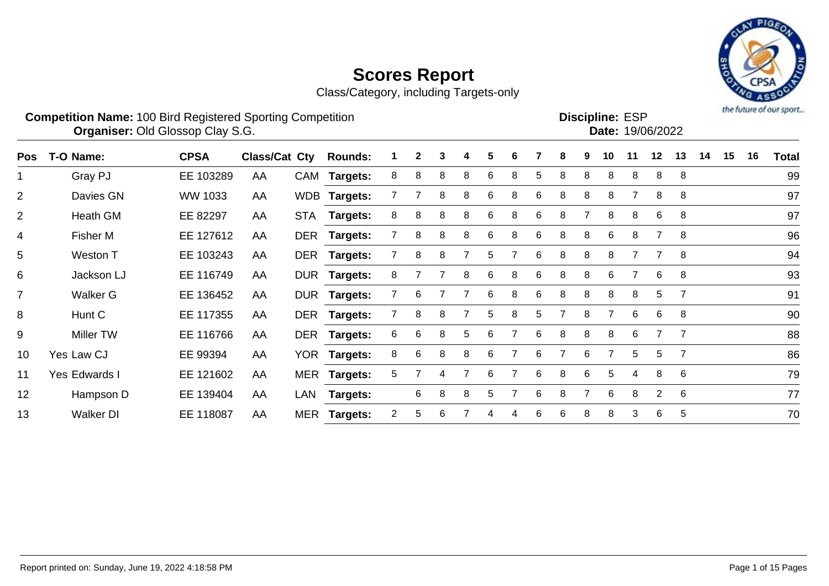

| <b>Competition Name: 100 Bird Registered Sporting Competition</b> | <b>Discipline: ESP</b>  |
|-------------------------------------------------------------------|-------------------------|
| <b>Organiser: Old Glossop Clay S.G.</b>                           | <b>Date: 19/06/2022</b> |

| <b>Pos</b>     | T-O Name:        | <b>CPSA</b> | <b>Class/Cat Cty</b> |     | <b>Rounds:</b>  |                | $\mathbf{2}$ | 3 | 4 | 5 | 6 |    | 8              | 9 | 10             | 11 | $12 \,$        | 13             | 14 | 15 | 16 | Total |
|----------------|------------------|-------------|----------------------|-----|-----------------|----------------|--------------|---|---|---|---|----|----------------|---|----------------|----|----------------|----------------|----|----|----|-------|
|                | Gray PJ          | EE 103289   | AA                   |     | CAM Targets:    | 8              | 8            | 8 | 8 | 6 | 8 | 5  | 8              | 8 | 8              | 8  | 8              | 8              |    |    |    | 99    |
| $\overline{2}$ | Davies GN        | WW 1033     | AA                   |     | WDB Targets:    |                |              | 8 | 8 | 6 | 8 | 6  | 8              | 8 | 8              |    | 8              | 8              |    |    |    | 97    |
| 2              | Heath GM         | EE 82297    | AA                   |     | STA Targets:    | 8              | 8            | 8 | 8 | 6 | 8 | 6  | 8              | 7 | 8              | 8  | 6              | 8              |    |    |    | 97    |
| 4              | Fisher M         | EE 127612   | AA                   |     | DER Targets:    |                | 8            | 8 | 8 | 6 | 8 | 6  | 8              | 8 | 6              | 8  |                | 8              |    |    |    | 96    |
| 5              | Weston T         | EE 103243   | AA                   |     | DER Targets:    |                | 8            | 8 |   | 5 |   | 6  | 8              | 8 | 8              |    |                | 8              |    |    |    | 94    |
| 6              | Jackson LJ       | EE 116749   | AA                   |     | DUR Targets:    | 8              |              |   | 8 | 6 | 8 | 6  | 8              | 8 | 6.             |    | 6              | 8              |    |    |    | 93    |
| $\overline{7}$ | Walker G         | EE 136452   | AA                   |     | DUR Targets:    |                | 6            |   |   | 6 | 8 | 6  | 8              | 8 | 8              | 8  | 5              | $\overline{7}$ |    |    |    | 91    |
| 8              | Hunt C           | EE 117355   | AA                   |     | DER Targets:    |                | 8            | 8 |   | 5 | 8 | 5. |                | 8 |                | 6  | 6              | -8             |    |    |    | 90    |
| 9              | Miller TW        | EE 116766   | AA                   |     | DER Targets:    | 6              | 6            | 8 | 5 | 6 |   | 6  | 8              | 8 | 8              | 6  |                | $\overline{7}$ |    |    |    | 88    |
| 10             | Yes Law CJ       | EE 99394    | AA                   |     | YOR Targets:    | 8              | 6            | 8 | 8 | 6 |   | 6  | $\overline{7}$ | 6 | $\overline{7}$ | 5  | 5              | $\overline{7}$ |    |    |    | 86    |
| 11             | Yes Edwards I    | EE 121602   | AA                   |     | MER Targets:    | 5              |              |   |   | 6 |   | 6  | 8              | 6 | 5              | 4  | 8              | -6             |    |    |    | 79    |
| 12             | Hampson D        | EE 139404   | AA                   | LAN | <b>Targets:</b> |                | 6            | 8 | 8 | 5 |   | 6  | 8              |   | 6              | 8  | $\overline{2}$ | 6              |    |    |    | 77    |
| 13             | <b>Walker DI</b> | EE 118087   | AA                   |     | MER Targets:    | $\overline{2}$ | 5            | 6 |   | 4 | 4 | 6  | 6              | 8 | 8              | 3  | 6              | 5              |    |    |    | 70    |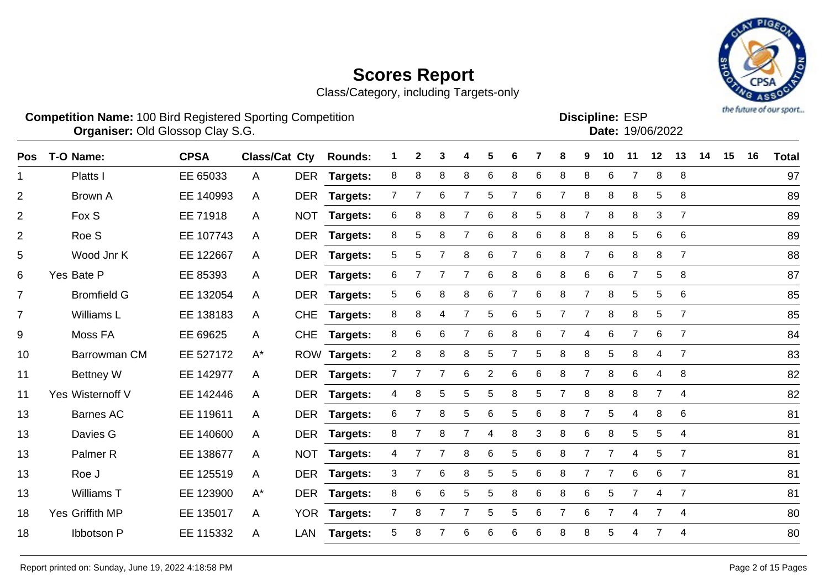Class/Category, including Targets-only

Yes Wisternoff V EE 142446 A DER **Targets:** 4 8 5 5 5 8 5 7 8 8 8 7 4 82

Barnes AC EE 119611 A DER **Targets:** 6 7 8 5 6 5 6 8 7 5 4 8 6 81

Davies G EE 140600 A DER **Targets:** 8 7 8 7 4 8 3 8 6 8 5 5 4 81

13 Palmer R EE 138677 A NOT **Targets:** 4 7 7 8 6 5 6 8 7 7 4 5 7 8 81

Roe J EE 125519 A DER **Targets:** 3 7 6 8 5 5 6 8 7 7 6 6 7 81

Williams T EE 123900 A\* DER **Targets:** 8 6 6 5 5 8 6 8 6 5 7 4 7 81

Yes Griffith MP EE 135017 A YOR **Targets:** 7 8 7 7 5 5 6 7 6 7 4 7 4 80

Ibbotson P EE 115332 A LAN **Targets:** 5 8 7 6 6 6 6 8 8 5 4 7 4 80



**Competition Name:** 100 Bird Registered Sporting Competition **EXP EXP Competition EXP** 

**Discipline:**

**Organiser: Old GI** 

|     | Organiser: Old Glossop Clay S.G. |             |                      |            |                 |                       |              |    |   |   |   |   |   |   |    |    | Date: 19/06/2022 |                |    |    |    |              |
|-----|----------------------------------|-------------|----------------------|------------|-----------------|-----------------------|--------------|----|---|---|---|---|---|---|----|----|------------------|----------------|----|----|----|--------------|
| Pos | T-O Name:                        | <b>CPSA</b> | <b>Class/Cat Cty</b> |            | <b>Rounds:</b>  |                       | $\mathbf{2}$ | 3  | 4 | 5 | 6 |   | 8 | 9 | 10 | 11 | $12$             | 13             | 14 | 15 | 16 | <b>Total</b> |
|     | Platts I                         | EE 65033    | A                    | DER        | Targets:        | 8                     | 8            | 8  | 8 | 6 | 8 | 6 | 8 | 8 | 6  |    | 8                | 8              |    |    |    | 97           |
| 2   | Brown A                          | EE 140993   | A                    | <b>DER</b> | Targets:        |                       |              | 6. |   | 5 |   | 6 |   | 8 | 8  | 8  | 5                | 8              |    |    |    | 89           |
| 2   | Fox S                            | EE 71918    | A                    | <b>NOT</b> | <b>Targets:</b> | 6                     | 8            | 8  |   | 6 | 8 | 5 | 8 |   | 8  | 8  | 3                |                |    |    |    | 89           |
| 2   | Roe S                            | EE 107743   | A                    | <b>DER</b> | Targets:        | 8                     | 5            | 8  |   | 6 | 8 | 6 | 8 | 8 | 8  | 5  | 6                | -6             |    |    |    | 89           |
| 5   | Wood Jnr K                       | EE 122667   | A                    | DER        | Targets:        | 5                     | 5            |    | 8 | 6 |   | 6 | 8 | 7 | 6  | 8  | 8                |                |    |    |    | 88           |
| 6   | Yes Bate P                       | EE 85393    | $\mathsf{A}$         | <b>DER</b> | Targets:        | 6                     |              |    |   | 6 | 8 | 6 | 8 | 6 | 6  |    | 5                | -8             |    |    |    | 87           |
|     | <b>Bromfield G</b>               | EE 132054   | A                    | <b>DER</b> | <b>Targets:</b> | 5                     | 6            | 8  | 8 | 6 |   | 6 | 8 |   | 8  | 5  | 5                | 6              |    |    |    | 85           |
|     | Williams L                       | EE 138183   | A                    | <b>CHE</b> | <b>Targets:</b> | 8                     | 8            | 4  |   | 5 | 6 | 5 |   |   | 8  | 8  | 5                |                |    |    |    | 85           |
| 9   | Moss FA                          | EE 69625    | $\mathsf{A}$         |            | CHE Targets:    | 8                     | 6            | 6  |   | 6 | 8 | 6 |   | 4 | 6  |    | 6                | - 7            |    |    |    | 84           |
| 10  | Barrowman CM                     | EE 527172   | $A^*$                |            | ROW Targets:    | $\mathbf{2}^{\prime}$ | 8            | 8  | 8 | 5 |   | 5 | 8 | 8 | 5  | 8  | 4                | $\overline{7}$ |    |    |    | 83           |
| 11  | <b>Bettney W</b>                 | EE 142977   | A                    | <b>DER</b> | <b>Targets:</b> |                       |              |    | 6 | 2 | 6 | 6 | 8 |   | 8  | 6  | 4                | -8             |    |    |    | 82           |
|     |                                  |             |                      |            |                 |                       |              |    |   |   |   |   |   |   |    |    |                  |                |    |    |    |              |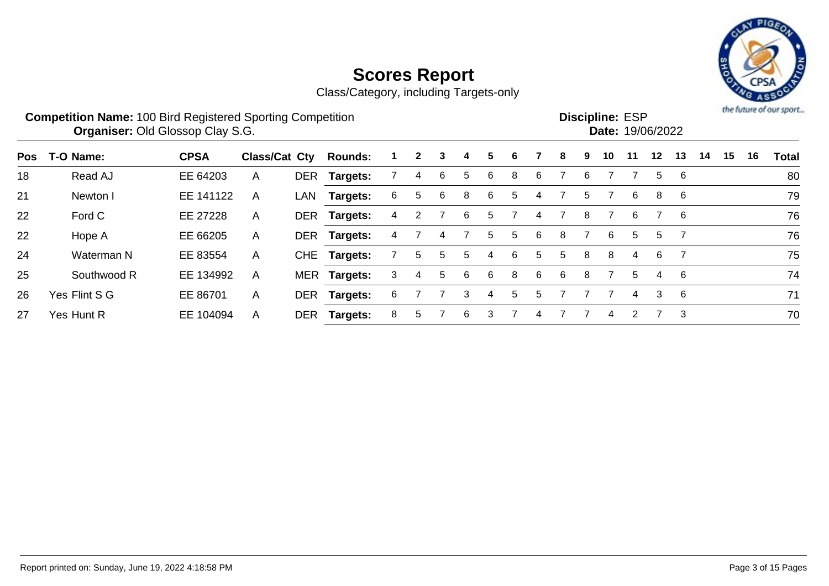

|            | <b>Competition Name: 100 Bird Registered Sporting Competition</b><br><b>Organiser: Old Glossop Clay S.G.</b> |             |                      |            |                 |    |              |   |    |   |    |   |   |   | <b>Discipline: ESP</b> |    | Date: 19/06/2022 |    |    |    |    | the future of our sport |
|------------|--------------------------------------------------------------------------------------------------------------|-------------|----------------------|------------|-----------------|----|--------------|---|----|---|----|---|---|---|------------------------|----|------------------|----|----|----|----|-------------------------|
| <b>Pos</b> | T-O Name:                                                                                                    | <b>CPSA</b> | <b>Class/Cat Cty</b> |            | <b>Rounds:</b>  |    | $\mathbf{2}$ | 3 | 4  | 5 | 6  |   | 8 | 9 | 10                     | 11 | 12 <sup>1</sup>  | 13 | 14 | 15 | 16 | <b>Total</b>            |
| 18         | Read AJ                                                                                                      | EE 64203    | A                    | DER        | Targets:        |    | 4            | 6 | 5. | 6 | 8  | 6 |   | 6 |                        |    | 5                | 6  |    |    |    | 80                      |
| 21         | Newton I                                                                                                     | EE 141122   | A                    | LAN        | <b>Targets:</b> | 6. | 5            | 6 | 8  | 6 | 5. |   |   | 5 |                        | 6  | 8                | 6  |    |    |    | 79                      |
| 22         | Ford C                                                                                                       | EE 27228    | A                    | <b>DER</b> | <b>Targets:</b> |    |              |   | 6  | 5 |    | 4 |   | 8 |                        | 6  |                  | -6 |    |    |    | 76                      |
| 22         | Hope A                                                                                                       | EE 66205    | $\mathsf{A}$         |            | DER Targets:    |    |              | 4 |    | 5 | 5  | 6 | 8 |   | 6                      | 5. | 5                |    |    |    |    | 76                      |
| 24         | Waterman N                                                                                                   | EE 83554    | A                    |            | CHE Targets:    |    | 5            | 5 | 5  | 4 | 6  | 5 | 5 | 8 | 8                      | 4  | 6                |    |    |    |    | 75                      |
| 25         | Southwood R                                                                                                  | EE 134992   | A                    |            | MER Targets:    | 3  | 4            | 5 | 6  | 6 | 8  | 6 | 6 | 8 |                        | 5  | 4                | -6 |    |    |    | 74                      |
| 26         | Yes Flint S G                                                                                                | EE 86701    | $\mathsf{A}$         | <b>DER</b> | <b>Targets:</b> | 6  |              |   | 3  | 4 | 5. | 5 |   |   |                        | 4  | 3                | -6 |    |    |    | 71                      |
| 27         | Yes Hunt R                                                                                                   | EE 104094   | A                    | DER        | <b>Targets:</b> | 8  | 5            |   | 6  | 3 |    |   |   |   | 4                      |    |                  | 3  |    |    |    | 70                      |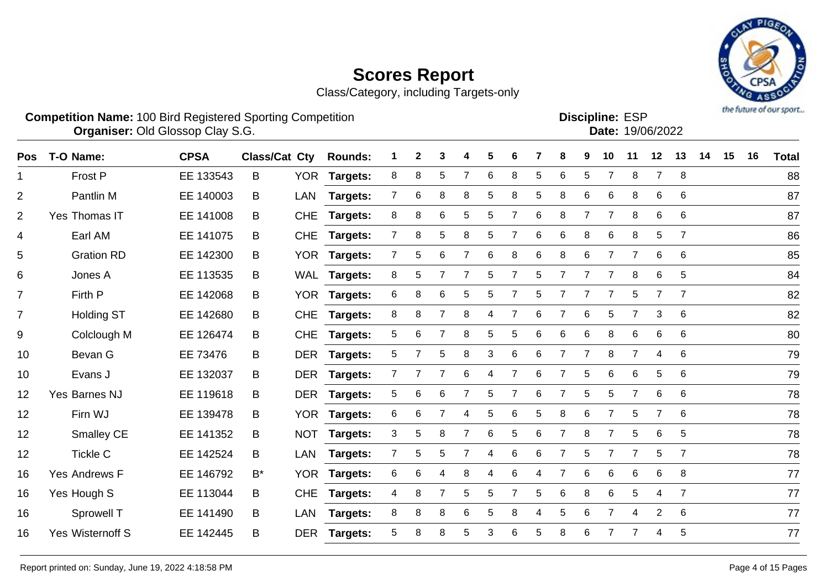Class/Category, including Targets-only



**Competition Name:** 100 Bird Registered Sporting Competition **EXP EXP Competition EXP Organiser:** Old Glossop Clay S.G. 19/06/2022

**Discipline:**

| וטם. בסווווקוסי |                  |
|-----------------|------------------|
|                 | Date: 19/06/2022 |
|                 |                  |

| <b>Pos</b>     | T-O Name:               | <b>CPSA</b> | <b>Class/Cat Cty</b> |            | <b>Rounds:</b>  |                | 2 | 3              |                | 5 |                |   | 8              | 9              | 10             | 11             | 12             | 13             | 14 | 15 | 16 | <b>Total</b> |
|----------------|-------------------------|-------------|----------------------|------------|-----------------|----------------|---|----------------|----------------|---|----------------|---|----------------|----------------|----------------|----------------|----------------|----------------|----|----|----|--------------|
| 1              | Frost P                 | EE 133543   | B                    | <b>YOR</b> | <b>Targets:</b> | 8              | 8 | 5              |                | 6 | 8              | 5 | 6              | 5              | 7              | 8              | $\overline{7}$ | 8              |    |    |    | 88           |
| $\overline{2}$ | Pantlin M               | EE 140003   | B                    | <b>LAN</b> | Targets:        | 7              | 6 | 8              | 8              | 5 | 8              | 5 | 8              | 6              | 6              | 8              | 6              | 6              |    |    |    | 87           |
| $\overline{2}$ | Yes Thomas IT           | EE 141008   | B                    | <b>CHE</b> | Targets:        | 8              | 8 | 6              | 5              | 5 | $\overline{7}$ | 6 | 8              | $\overline{7}$ | $\overline{7}$ | 8              | 6              | 6              |    |    |    | 87           |
| 4              | Earl AM                 | EE 141075   | B                    | <b>CHE</b> | Targets:        | $7^{\circ}$    | 8 | 5              | 8              | 5 | 7              | 6 | 6              | 8              | 6              | 8              | 5              | $\overline{7}$ |    |    |    | 86           |
| 5              | <b>Gration RD</b>       | EE 142300   | B                    |            | YOR Targets:    | $\overline{7}$ | 5 | 6              | $\overline{7}$ | 6 | 8              | 6 | 8              | 6              | $\overline{7}$ | $\overline{7}$ | 6              | 6              |    |    |    | 85           |
| 6              | Jones A                 | EE 113535   | B                    |            | WAL Targets:    | 8              | 5 | 7              |                | 5 |                | 5 | $\overline{7}$ | 7              | 7              | 8              | 6              | 5              |    |    |    | 84           |
| $\overline{7}$ | Firth P                 | EE 142068   | B                    | <b>YOR</b> | <b>Targets:</b> | 6              | 8 | 6              | 5              | 5 |                | 5 |                |                | 7              | 5              | 7              | $\overline{7}$ |    |    |    | 82           |
| $\overline{7}$ | <b>Holding ST</b>       | EE 142680   | B                    | <b>CHE</b> | <b>Targets:</b> | 8              | 8 | $\overline{7}$ | 8              | 4 | 7              | 6 | 7              | 6              | 5              |                | 3              | 6              |    |    |    | 82           |
| 9              | Colclough M             | EE 126474   | B                    | <b>CHE</b> | <b>Targets:</b> | 5              | 6 | 7              | 8              | 5 | 5              | 6 | 6              | 6              | 8              | 6              | 6              | 6              |    |    |    | 80           |
| 10             | Bevan G                 | EE 73476    | B                    | <b>DER</b> | <b>Targets:</b> | 5              |   | 5              | 8              | 3 | 6              | 6 | 7              | 7              | 8              | $\overline{7}$ | 4              | 6              |    |    |    | 79           |
| 10             | Evans J                 | EE 132037   | B                    | <b>DER</b> | Targets:        |                |   |                | 6              | 4 |                | 6 |                | 5              | 6              | 6              | 5              | 6              |    |    |    | 79           |
| 12             | Yes Barnes NJ           | EE 119618   | B                    | <b>DER</b> | <b>Targets:</b> | 5              | 6 | 6              |                | 5 | 7              | 6 | 7              | 5              | 5              | $\overline{7}$ | 6              | 6              |    |    |    | 78           |
| 12             | Firn WJ                 | EE 139478   | B                    |            | YOR Targets:    | 6              | 6 | $\overline{7}$ | 4              | 5 | 6              | 5 | 8              | 6              | 7              | 5              | $\overline{7}$ | 6              |    |    |    | 78           |
| 12             | Smalley CE              | EE 141352   | B                    | <b>NOT</b> | <b>Targets:</b> | 3              | 5 | 8              |                | 6 | 5              | 6 | 7              | 8              | 7              | 5              | 6              | 5              |    |    |    | 78           |
| 12             | <b>Tickle C</b>         | EE 142524   | B                    | <b>LAN</b> | Targets:        | $7^{\circ}$    | 5 | 5              |                | 4 | 6              | 6 | 7              | 5              | 7              |                | 5              | $\overline{7}$ |    |    |    | 78           |
| 16             | Yes Andrews F           | EE 146792   | B*                   | <b>YOR</b> | <b>Targets:</b> | 6              | 6 | 4              | 8              | 4 | 6              | 4 | $\overline{7}$ | 6              | 6              | 6              | 6              | 8              |    |    |    | 77           |
| 16             | Yes Hough S             | EE 113044   | B.                   | <b>CHE</b> | <b>Targets:</b> | 4              | 8 | 7              | 5              | 5 | 7              | 5 | 6              | 8              | 6              | 5              | 4              | $\overline{7}$ |    |    |    | 77           |
| 16             | Sprowell T              | EE 141490   | B                    | <b>LAN</b> | <b>Targets:</b> | 8              | 8 | 8              | 6              | 5 | 8              | 4 | 5              | 6              | 7              | 4              | $\overline{2}$ | 6              |    |    |    | 77           |
| 16             | <b>Yes Wisternoff S</b> | EE 142445   | B                    | <b>DER</b> | <b>Targets:</b> | 5              | 8 | 8              | 5              | 3 | 6              | 5 | 8              | 6              | 7              |                | 4              | 5              |    |    |    | 77           |
|                |                         |             |                      |            |                 |                |   |                |                |   |                |   |                |                |                |                |                |                |    |    |    |              |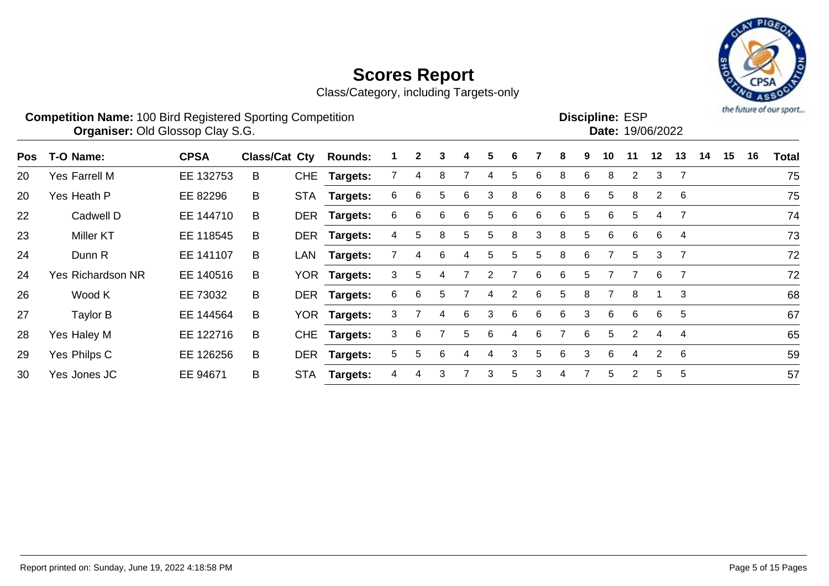

| <b>Competition Name: 100 Bird Registered Sporting Competition</b> | <b>Discipline: ESP</b>  |
|-------------------------------------------------------------------|-------------------------|
| <b>Organiser: Old Glossop Clay S.G.</b>                           | <b>Date: 19/06/2022</b> |
|                                                                   |                         |

| Pos | T-O Name:                | <b>CPSA</b> | <b>Class/Cat Cty</b> |     | <b>Rounds:</b>  |    | $\mathbf{2}$ | 3 | 4  | 5. | 6 |    | 8 | 9 | 10 | 11                    | 12             | 13 | 14 | 15 | 16 | <b>Total</b> |
|-----|--------------------------|-------------|----------------------|-----|-----------------|----|--------------|---|----|----|---|----|---|---|----|-----------------------|----------------|----|----|----|----|--------------|
| 20  | Yes Farrell M            | EE 132753   | B                    |     | CHE Targets:    |    | 4            | 8 |    | 4  | 5 | 6  | 8 | 6 | 8  | $\mathbf{2}^{\prime}$ | 3              |    |    |    |    | 75           |
| 20  | Yes Heath P              | EE 82296    | B                    |     | STA Targets:    | 6  | 6            | 5 | 6  | 3  | 8 | 6  | 8 | 6 | 5  | 8                     | $\overline{2}$ | -6 |    |    |    | 75           |
| 22  | Cadwell D                | EE 144710   | B.                   |     | DER Targets:    | 6. | 6            | 6 | 6  | 5  | 6 | 6  | 6 | 5 | 6  | 5.                    | 4              |    |    |    |    | 74           |
| 23  | <b>Miller KT</b>         | EE 118545   | B                    |     | DER Targets:    | 4  | 5.           | 8 | 5. | 5  | 8 | 3  | 8 | 5 | 6  | 6                     | 6              | 4  |    |    |    | 73           |
| 24  | Dunn R                   | EE 141107   | B                    |     | LAN Targets:    |    | 4            | 6 | 4  | 5  | 5 | 5. | 8 | 6 |    | 5                     | 3              |    |    |    |    | 72           |
| 24  | <b>Yes Richardson NR</b> | EE 140516   | B                    |     | YOR Targets:    | 3  | 5.           | 4 |    | 2  |   | 6  | 6 | 5 |    |                       | 6              |    |    |    |    | 72           |
| 26  | Wood K                   | EE 73032    | B                    |     | DER Targets:    | 6  | 6            | 5 |    | 4  | 2 | 6  | 5 | 8 |    | 8                     |                | 3  |    |    |    | 68           |
| 27  | Taylor B                 | EE 144564   | B                    |     | YOR Targets:    | 3. |              | 4 | 6  | 3  | 6 | 6  | 6 | 3 | -6 | 6                     | 6              | 5  |    |    |    | 67           |
| 28  | Yes Haley M              | EE 122716   | B                    |     | CHE Targets:    | 3  | 6            |   | 5  | 6  | 4 | 6  |   | 6 | 5  | $\overline{2}$        | 4              | 4  |    |    |    | 65           |
| 29  | Yes Philps C             | EE 126256   | B                    |     | DER Targets:    | 5. | 5            | 6 |    | 4  | 3 | 5  | 6 | 3 | 6  | 4                     | $\overline{2}$ | -6 |    |    |    | 59           |
| 30  | Yes Jones JC             | EE 94671    | B                    | STA | <b>Targets:</b> | 4  | 4            | 3 |    | 3  | 5 | 3  |   |   | 5  | $\overline{2}$        | 5              | 5  |    |    |    | 57           |
|     |                          |             |                      |     |                 |    |              |   |    |    |   |    |   |   |    |                       |                |    |    |    |    |              |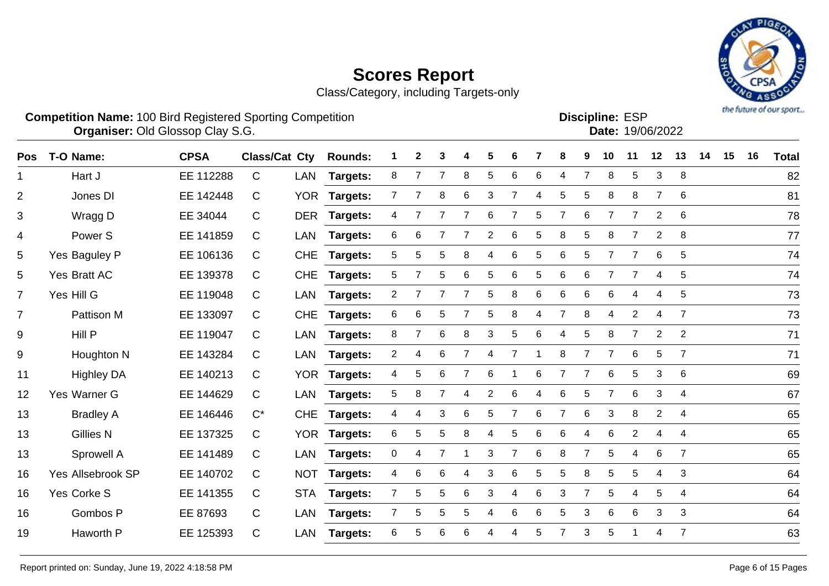Class/Category, including Targets-only

Pos T-O-Name: CPSA Class/Cat Cty Rounds: 1 2 3 4 5 6 7 8 9 10 11 12 13 14 15 16 Total Hart J EE 112288 C LAN **Targets:** 8 7 7 8 5 6 6 4 7 8 5 3 8 82



**Competition Name:** 100 Bird Registered Sporting Competition **EXP EXP Competition EXP Organiser:** Old Glossop Clay S.G. 19/06/2022

**Discipline:**

| $\overline{2}$  | Jones DI          | EE 142448 | $\mathsf{C}$ |            | YOR Targets:    |                       |                | 8 | 6 | 3              | 7 | 4  | 5 | 5              | 8               | 8              | 7              | 6              | 81 |
|-----------------|-------------------|-----------|--------------|------------|-----------------|-----------------------|----------------|---|---|----------------|---|----|---|----------------|-----------------|----------------|----------------|----------------|----|
| 3               | Wragg D           | EE 34044  | $\mathsf{C}$ | <b>DER</b> | <b>Targets:</b> | 4                     |                |   |   | 6              |   | 5  |   | 6              |                 |                | 2              | 6              | 78 |
| 4               | Power S           | EE 141859 | C            | LAN        | <b>Targets:</b> | 6                     | 6              |   |   | $\overline{2}$ | 6 | 5  | 8 | 5              | 8               | $\overline{7}$ | $\overline{2}$ | 8              | 77 |
| 5               | Yes Baguley P     | EE 106136 | $\mathsf{C}$ | <b>CHE</b> | <b>Targets:</b> | 5.                    | 5              | 5 | 8 | 4              | 6 | 5  | 6 | 5              |                 |                | 6              | 5              | 74 |
| 5               | Yes Bratt AC      | EE 139378 | C            | <b>CHE</b> | <b>Targets:</b> | 5.                    |                | 5 | 6 | 5              | 6 | 5. | 6 | 6              |                 |                | 4              | 5              | 74 |
| $\overline{7}$  | Yes Hill G        | EE 119048 | $\mathsf{C}$ | LAN        | <b>Targets:</b> | $\mathbf{2}^{\prime}$ |                |   |   | 5              | 8 | 6  | 6 | 6              | 6               | 4              | 4              | 5              | 73 |
| $\overline{7}$  | Pattison M        | EE 133097 | $\mathsf{C}$ | <b>CHE</b> | <b>Targets:</b> | 6                     | 6              | 5 |   | 5              | 8 | 4  | 7 | 8              | 4               | $\overline{2}$ | 4              | $\overline{7}$ | 73 |
| 9               | Hill P            | EE 119047 | $\mathsf{C}$ | LAN        | <b>Targets:</b> | 8                     |                | 6 | 8 | 3              | 5 | 6  | 4 | 5              | 8               | 7              | 2              | $\overline{2}$ | 71 |
| 9               | Houghton N        | EE 143284 | $\mathsf{C}$ | LAN        | <b>Targets:</b> | $\overline{2}$        | 4              | 6 |   | 4              |   |    | 8 |                |                 | 6              | 5              | $\overline{7}$ | 71 |
| 11              | <b>Highley DA</b> | EE 140213 | $\mathbf C$  |            | YOR Targets:    | 4                     | 5 <sup>5</sup> | 6 |   | 6              |   | 6  | 7 | 7              | 6               | 5              | 3              | 6              | 69 |
| 12 <sub>2</sub> | Yes Warner G      | EE 144629 | $\mathsf{C}$ | LAN        | <b>Targets:</b> | 5.                    | 8              |   | 4 | 2              | 6 |    | 6 | 5              |                 | 6              | 3              | 4              | 67 |
| 13              | <b>Bradley A</b>  | EE 146446 | $C^*$        | <b>CHE</b> | <b>Targets:</b> | 4                     | 4              | 3 | 6 | 5              |   | 6  | 7 | 6              | 3               | 8              | $\overline{2}$ | 4              | 65 |
| 13              | <b>Gillies N</b>  | EE 137325 | $\mathsf{C}$ |            | YOR Targets:    | 6                     | 5              | 5 | 8 | 4              | 5 | 6  | 6 | 4              | 6               | $\overline{2}$ | 4              | $\overline{4}$ | 65 |
| 13              | Sprowell A        | EE 141489 | $\mathsf{C}$ | LAN        | <b>Targets:</b> | 0                     | 4              |   |   | 3              |   | 6  | 8 | $\overline{7}$ | 5               | 4              | 6              | $\overline{7}$ | 65 |
| 16              | Yes Allsebrook SP | EE 140702 | $\mathsf{C}$ | <b>NOT</b> | Targets:        | 4                     | 6              | 6 | 4 | 3              | 6 | 5. | 5 | 8              | $5\phantom{.0}$ | 5              | 4              | 3              | 64 |
| 16              | Yes Corke S       | EE 141355 | C            | <b>STA</b> | Targets:        |                       | 5              | 5 | 6 | 3              | 4 | 6  | 3 |                | 5               | 4              | 5              | 4              | 64 |
|                 |                   |           |              |            |                 |                       |                |   |   |                |   |    |   |                |                 |                |                |                |    |

Gombos P EE 87693 C LAN **Targets:** 7 5 5 5 4 6 6 5 3 6 6 3 3 64

Haworth P EE 125393 C LAN **Targets:** 6 5 6 6 4 4 5 7 3 5 1 4 7 63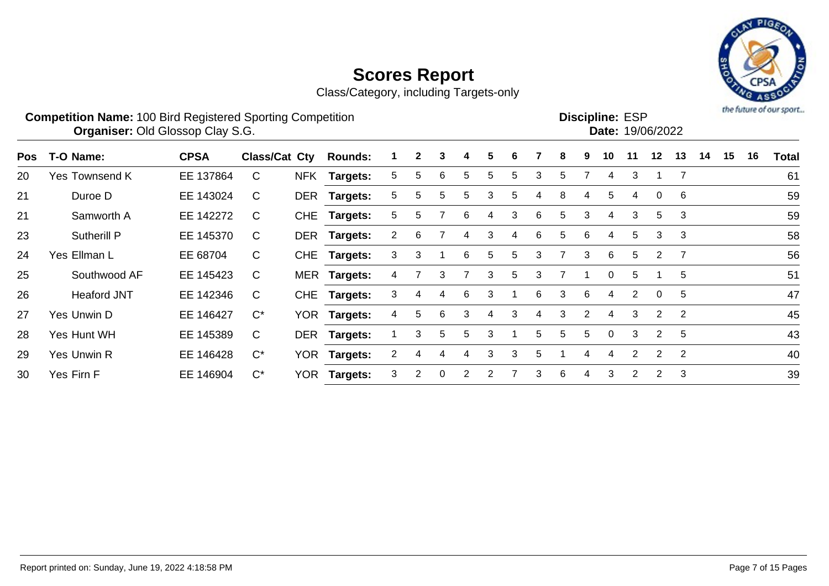Class/Category, including Targets-only



#### **Competition Name:** 100 Bird Registered Sporting Competition **EXP EXP Competition EXP Organiser:** Old Glossop Clay S.G. 19/06/2022 Discipline: ESP<br>Date: 19/06/2022

| Pos | T-O Name:             | <b>CPSA</b> | Class/Cat Cty      | <b>Rounds:</b> |                       | $\mathbf{2}$ | 3        | 4  | 5 | 6 |    | 8  | 9             | 10          | 11 | 12 <sub>2</sub> | 13             | 14 | 15 | 16 | <b>Total</b> |
|-----|-----------------------|-------------|--------------------|----------------|-----------------------|--------------|----------|----|---|---|----|----|---------------|-------------|----|-----------------|----------------|----|----|----|--------------|
| 20  | <b>Yes Townsend K</b> | EE 137864   | C                  | NFK Targets:   | 5.                    | b.           | 6        | 5  | 5 | 5 | 3  | 5  |               | 4           | 3  |                 |                |    |    |    | 61           |
| 21  | Duroe D               | EE 143024   | C                  | DER Targets:   | 5.                    | 5.           | 5        | 5  | 3 | 5 | 4  | 8  | 4             | 5           | 4  | $\mathbf{0}$    | -6             |    |    |    | 59           |
| 21  | Samworth A            | EE 142272   | C                  | CHE Targets:   | 5.                    | b.           |          | 6  | 4 | 3 | 6. | 5  | 3             | 4           | 3  | 5               | 3              |    |    |    | 59           |
| 23  | Sutherill P           | EE 145370   | C                  | DER Targets:   | 2                     | 6            |          | 4  | 3 | 4 | 6  | 5. | 6             | 4           | 5  | 3               | 3              |    |    |    | 58           |
| 24  | Yes Ellman L          | EE 68704    | $\mathsf{C}$       | CHE Targets:   | 3.                    | 3            |          | 6  | 5 | 5 | 3  |    | 3             | 6           | 5  | 2               | - 7            |    |    |    | 56           |
| 25  | Southwood AF          | EE 145423   | $\mathsf{C}$       | MER Targets:   | 4                     |              | 3        |    | 3 | 5 | 3  |    |               | $\Omega$    | 5  |                 | 5              |    |    |    | 51           |
| 26  | <b>Heaford JNT</b>    | EE 142346   | C                  | CHE Targets:   | 3.                    |              |          | 6  | 3 |   | 6  | 3  | 6             | 4           | 2  | $\Omega$        | 5              |    |    |    | 47           |
| 27  | Yes Unwin D           | EE 146427   | $C^*$              | YOR Targets:   | 4                     | 5.           | 6        | 3  | 4 | 3 |    | 3  | $\mathcal{P}$ | 4           | 3  | 2               | -2             |    |    |    | 45           |
| 28  | Yes Hunt WH           | EE 145389   | $\mathsf{C}$       | DER Targets:   |                       | 3            | 5        | 5. | 3 |   | 5. | 5  | 5.            | $\Omega$    | 3  | 2               | 5              |    |    |    | 43           |
| 29  | Yes Unwin R           | EE 146428   | $\mathrm{C}^\star$ | YOR Targets:   | $\mathbf{2}^{\prime}$ |              |          |    | 3 | 3 | 5. |    |               | $\mathbf 4$ | 2  | $\overline{2}$  | $\overline{2}$ |    |    |    | 40           |
| 30  | Yes Firn F            | EE 146904   | $C^*$              | YOR Targets:   | 3                     |              | $\Omega$ | 2  | 2 |   | 3  | 6  | 4             | 3           | 2  | 2               | -3             |    |    |    | 39           |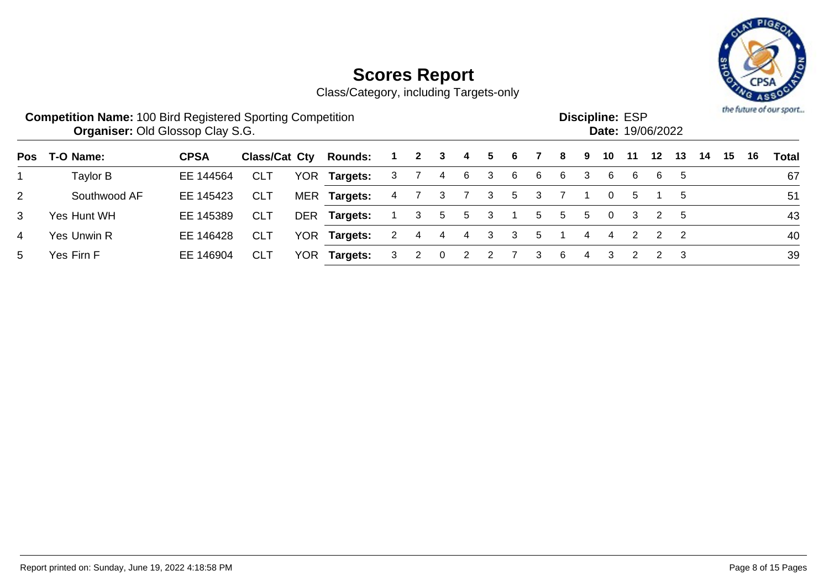

|                | <b>Competition Name: 100 Bird Registered Sporting Competition</b><br><b>Organiser: Old Glossop Clay S.G.</b> |             |               |      |                |   |              |          |                |    |   |    |    |   | <b>Discipline: ESP</b> |    | Date: 19/06/2022 |               |    |    |    | the future of our sport |
|----------------|--------------------------------------------------------------------------------------------------------------|-------------|---------------|------|----------------|---|--------------|----------|----------------|----|---|----|----|---|------------------------|----|------------------|---------------|----|----|----|-------------------------|
| <b>Pos</b>     | T-O Name:                                                                                                    | <b>CPSA</b> | Class/Cat Cty |      | <b>Rounds:</b> |   | $\mathbf{2}$ | 3        | 4              | 5. | 6 |    | 8  | 9 | 10                     | 11 | 12               | 13            | 14 | 15 | 16 | Total                   |
|                | Taylor B                                                                                                     | EE 144564   | <b>CLT</b>    | YOR. | Targets:       | 3 |              | 4        | -6             | 3  | 6 | -6 | -6 | 3 | 6                      | 6  | 6                | 5             |    |    |    | 67                      |
| $\overline{2}$ | Southwood AF                                                                                                 | EE 145423   | <b>CLT</b>    |      | MER Targets:   | 4 |              | 3        |                | 3  | 5 | 3  |    |   | $\overline{0}$         | 5  |                  | -5            |    |    |    | 51                      |
| 3              | Yes Hunt WH                                                                                                  | EE 145389   | <b>CLT</b>    |      | DER Targets:   |   | 3            | 5        | 5              | 3  |   | 5  | 5  | 5 | 0                      | 3  | 2                | -5            |    |    |    | 43                      |
| 4              | <b>Yes Unwin R</b>                                                                                           | EE 146428   | <b>CLT</b>    | YOR. | Targets:       | 2 | 4            | 4        | 4              | 3  | 3 | 5  |    | 4 | 4                      |    | $\mathcal{P}$    | $\mathcal{P}$ |    |    |    | 40                      |
| 5              | Yes Firn F                                                                                                   | EE 146904   | <b>CLT</b>    | YOR  | Targets:       | 3 | 2            | $\Omega$ | $\overline{2}$ |    |   | 3  | 6  | 4 | 3                      |    |                  | -3            |    |    |    | 39                      |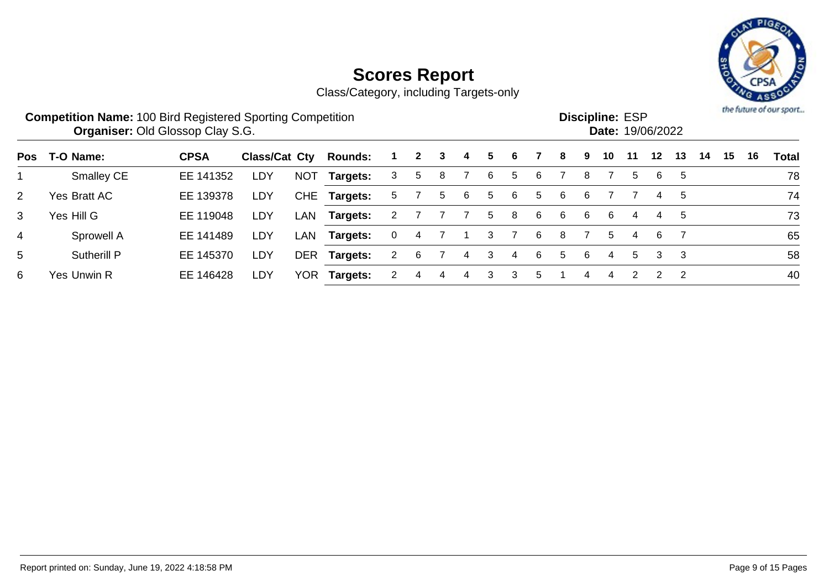

|                | <b>Competition Name: 100 Bird Registered Sporting Competition</b> | <b>Organiser: Old Glossop Clay S.G.</b> |               |            |                |                      |              |   |    |    |   |    |    |   | <b>Discipline: ESP</b><br>Date: 19/06/2022 |    |         |    |    |    |    | the future of our sport |
|----------------|-------------------------------------------------------------------|-----------------------------------------|---------------|------------|----------------|----------------------|--------------|---|----|----|---|----|----|---|--------------------------------------------|----|---------|----|----|----|----|-------------------------|
| <b>Pos</b>     | T-O Name:                                                         | <b>CPSA</b>                             | Class/Cat Cty |            | <b>Rounds:</b> |                      | $\mathbf{2}$ | 3 | 4  | 5  | 6 |    | 8  | 9 | 10                                         | 11 | $12 \,$ | 13 | 14 | 15 | 16 | <b>Total</b>            |
|                | <b>Smalley CE</b>                                                 | EE 141352                               | <b>LDY</b>    | <b>NOT</b> | Targets:       | 3                    | 5            | 8 |    | 6  | 5 | -6 |    | 8 |                                            | 5  | 6       | 5  |    |    |    | 78                      |
| 2              | Yes Bratt AC                                                      | EE 139378                               | LDY           |            | CHE Targets:   | 5.                   |              | 5 | -6 | 5  | 6 | 5  | 6  | 6 |                                            |    | 4       | 5  |    |    |    | 74                      |
| 3              | Yes Hill G                                                        | EE 119048                               | LDY           | LAN        | Targets:       |                      |              |   |    | 5. | 8 | 6  | -6 | 6 | -6                                         | 4  | 4       | -5 |    |    |    | 73                      |
| $\overline{4}$ | Sprowell A                                                        | EE 141489                               | LDY           | LAN        | Targets:       | 0                    | 4            |   |    | 3  |   | -6 | 8  |   | 5                                          | 4  | 6       |    |    |    |    | 65                      |
| 5              | Sutherill P                                                       | EE 145370                               | LDY           | <b>DER</b> | Targets:       | $\mathbf{2}^{\circ}$ | 6            |   | 4  | 3  | 4 | 6  | 5  | 6 | 4                                          | 5  | 3       | -3 |    |    |    | 58                      |
| 6              | Yes Unwin R                                                       | EE 146428                               | LDY           | YOR        | Targets:       |                      |              |   |    | 3  | З | 5  |    |   |                                            |    | 2       | 2  |    |    |    | 40                      |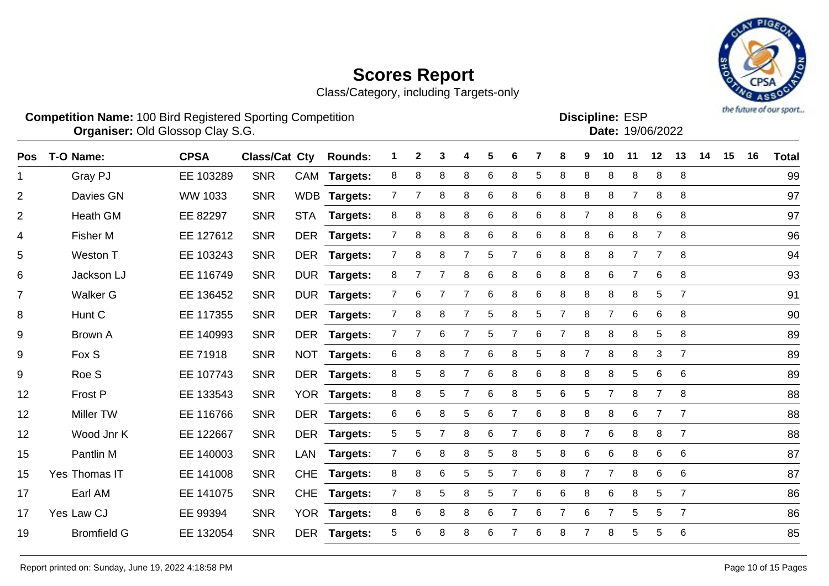

| <b>Competition Name: 100 Bird Registered Sporting Competition</b><br><b>Organiser: Old Glossop Clay S.G.</b> |             |                                                              |  |  |  |  |  |  |  |  | <b>Discipline: ESP</b> | <b>Date: 19/06/2022</b> |  |  | the future of our sport |
|--------------------------------------------------------------------------------------------------------------|-------------|--------------------------------------------------------------|--|--|--|--|--|--|--|--|------------------------|-------------------------|--|--|-------------------------|
| Pos T-O Name:                                                                                                | <b>CPSA</b> | Class/Cat Cty Rounds: 1 2 3 4 5 6 7 8 9 10 11 12 13 14 15 16 |  |  |  |  |  |  |  |  |                        |                         |  |  | <b>Total</b>            |

| гvэ            | - סווואו ט־י       | אט זט     | UIASSIVAL VIY |            | nuullus.        |                |                |                |                |   |   |   |                |                |                |                |                |                |  | ι νιαι |
|----------------|--------------------|-----------|---------------|------------|-----------------|----------------|----------------|----------------|----------------|---|---|---|----------------|----------------|----------------|----------------|----------------|----------------|--|--------|
|                | Gray PJ            | EE 103289 | <b>SNR</b>    |            | CAM Targets:    | 8              | 8              | 8              | 8              | 6 | 8 | 5 | 8              | 8              | 8              | 8              | 8              | 8              |  | 99     |
| $\overline{2}$ | Davies GN          | WW 1033   | <b>SNR</b>    |            | WDB Targets:    | $\overline{7}$ | $\overline{7}$ | 8              | 8              | 6 | 8 | 6 | 8              | 8              | 8              | $\overline{7}$ | 8              | 8              |  | 97     |
| 2              | Heath GM           | EE 82297  | <b>SNR</b>    | <b>STA</b> | <b>Targets:</b> | 8              | 8              | 8              | 8              | 6 | 8 | 6 | 8              | $\overline{7}$ | 8              | 8              | 6              | 8              |  | 97     |
| $\overline{4}$ | <b>Fisher M</b>    | EE 127612 | <b>SNR</b>    |            | DER Targets:    | $\overline{7}$ | 8              | 8              | 8              | 6 | 8 | 6 | 8              | 8              | 6              | 8              | $\overline{7}$ | 8              |  | 96     |
| 5              | Weston T           | EE 103243 | <b>SNR</b>    |            | DER Targets:    | $\overline{7}$ | 8              | 8              |                | 5 |   | 6 | 8              | 8              | 8              | $\overline{7}$ |                | 8              |  | 94     |
| 6              | Jackson LJ         | EE 116749 | <b>SNR</b>    |            | DUR Targets:    | 8              |                |                | 8              | 6 | 8 | 6 | 8              | 8              | 6              | $\overline{7}$ | 6              | 8              |  | 93     |
| $\overline{7}$ | Walker G           | EE 136452 | <b>SNR</b>    | <b>DUR</b> | <b>Targets:</b> | $\overline{7}$ | 6              |                | 7              | 6 | 8 | 6 | 8              | 8              | 8              | 8              | 5              | $\overline{7}$ |  | 91     |
| 8              | Hunt C             | EE 117355 | <b>SNR</b>    | DER        | Targets:        | 7              | 8              | 8              |                | 5 | 8 | 5 | $\overline{7}$ | 8              | $\overline{7}$ | 6              | 6              | 8              |  | 90     |
| 9              | <b>Brown A</b>     | EE 140993 | <b>SNR</b>    |            | DER Targets:    | $\overline{7}$ | $\overline{7}$ | 6              |                | 5 |   | 6 | $\overline{7}$ | 8              | 8              | 8              | 5              | 8              |  | 89     |
| 9              | Fox S              | EE 71918  | <b>SNR</b>    |            | NOT Targets:    | 6              | 8              | 8              | 7              | 6 | 8 | 5 | 8              | $\overline{7}$ | 8              | 8              | 3              | $\overline{7}$ |  | 89     |
| $9\,$          | Roe S              | EE 107743 | <b>SNR</b>    |            | DER Targets:    | 8              | 5              | 8              | $\overline{7}$ | 6 | 8 | 6 | 8              | 8              | 8              | 5              | 6              | 6              |  | 89     |
| 12             | Frost P            | EE 133543 | <b>SNR</b>    |            | YOR Targets:    | 8              | 8              | 5              | $\overline{7}$ | 6 | 8 | 5 | 6              | 5              | $\overline{7}$ | 8              | $\overline{7}$ | 8              |  | 88     |
| 12             | Miller TW          | EE 116766 | <b>SNR</b>    |            | DER Targets:    | 6              | 6              | 8              | 5              | 6 | 7 | 6 | 8              | 8              | 8              | 6              | $\overline{7}$ | $\overline{7}$ |  | 88     |
| 12             | Wood Jnr K         | EE 122667 | <b>SNR</b>    | DER        | <b>Targets:</b> | 5              | 5              | $\overline{7}$ | 8              | 6 | 7 | 6 | 8              |                | 6              | 8              | 8              | $\overline{7}$ |  | 88     |
| 15             | Pantlin M          | EE 140003 | <b>SNR</b>    | LAN        | Targets:        | 7              | 6              | 8              | 8              | 5 | 8 | 5 | 8              | 6              | 6              | 8              | 6              | 6              |  | 87     |
| 15             | Yes Thomas IT      | EE 141008 | <b>SNR</b>    | <b>CHE</b> | <b>Targets:</b> | 8              | 8              | 6              | 5              | 5 |   | 6 | 8              | 7              | $\overline{7}$ | 8              | 6              | 6              |  | 87     |
| 17             | Earl AM            | EE 141075 | <b>SNR</b>    | <b>CHE</b> | Targets:        | $\mathbf{7}$   | 8              | 5              | 8              | 5 | 7 | 6 | 6              | 8              | 6              | 8              | 5              | $\overline{7}$ |  | 86     |
| 17             | Yes Law CJ         | EE 99394  | <b>SNR</b>    | <b>YOR</b> | <b>Targets:</b> | 8              | 6              | 8              | 8              | 6 |   | 6 | 7              | 6              | $\overline{7}$ | 5              | 5              | $\overline{7}$ |  | 86     |
| 19             | <b>Bromfield G</b> | EE 132054 | <b>SNR</b>    |            | DER Targets:    | 5              | 6              | 8              | 8              | 6 |   | 6 | 8              |                | 8              | 5              | 5              | $\,6$          |  | 85     |
|                |                    |           |               |            |                 |                |                |                |                |   |   |   |                |                |                |                |                |                |  |        |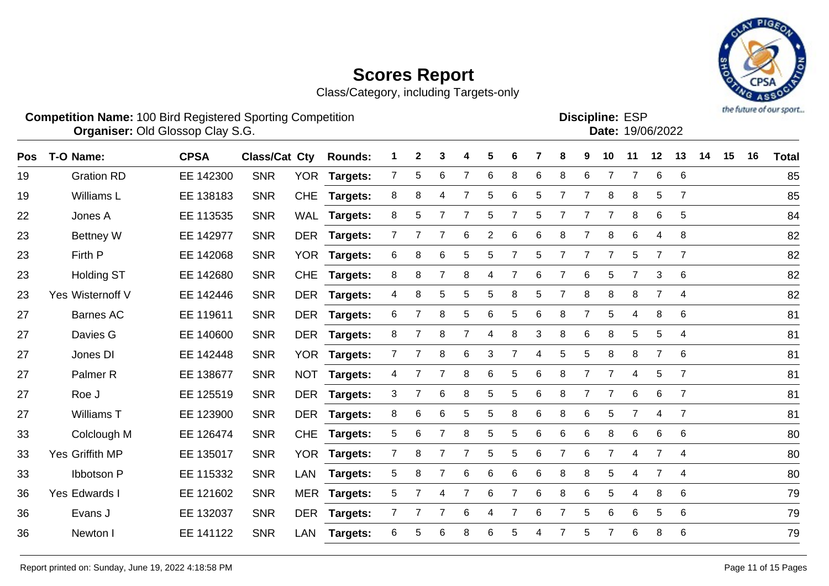Class/Category, including Targets-only



14 15 16 Total

|    | <b>Competition Name: 100 Bird Registered Sporting Competition</b> | <b>Organiser: Old Glossop Clay S.G.</b> |     |                                                     |  |  |  |  | <b>Discipline: ESP</b><br><b>Date: 19/06/2022</b> |  |  |
|----|-------------------------------------------------------------------|-----------------------------------------|-----|-----------------------------------------------------|--|--|--|--|---------------------------------------------------|--|--|
|    | Pos T-O Name:                                                     | <b>CPSA</b>                             |     | Class/Cat Cty Rounds: 1 2 3 4 5 6 7 8 9 10 11 12 13 |  |  |  |  |                                                   |  |  |
| 19 | <b>Gration RD</b>                                                 | EE 142300                               | SNR | YOR Targets: 7 5 6 7 6 8 6 8 6 7 7 6 6              |  |  |  |  |                                                   |  |  |

| 19 | <b>Gration RD</b>   | EE 142300 | <b>SNR</b> | <b>YOR</b> | <b>Targets:</b> |   | 5 | 6              |   | 6     | 8 | 6               | 8 | 6 |                |   | 6              | 6              | 85 |
|----|---------------------|-----------|------------|------------|-----------------|---|---|----------------|---|-------|---|-----------------|---|---|----------------|---|----------------|----------------|----|
| 19 | Williams L          | EE 138183 | <b>SNR</b> | <b>CHE</b> | Targets:        | 8 | 8 | 4              |   | 5     | 6 | 5               |   | 7 | 8              | 8 | 5              | $\overline{7}$ | 85 |
| 22 | Jones A             | EE 113535 | <b>SNR</b> | WAL        | <b>Targets:</b> | 8 | 5 |                |   | 5     |   | 5               |   |   | 7              | 8 | 6              | 5              | 84 |
| 23 | <b>Bettney W</b>    | EE 142977 | <b>SNR</b> | <b>DER</b> | Targets:        |   |   |                | 6 | 2     | 6 | 6               | 8 |   | 8              | 6 | 4              | 8              | 82 |
| 23 | Firth P             | EE 142068 | <b>SNR</b> | <b>YOR</b> | <b>Targets:</b> | 6 | 8 | 6              | 5 | 5     |   | 5               |   | 7 | 7              | 5 | 7              | $\overline{7}$ | 82 |
| 23 | <b>Holding ST</b>   | EE 142680 | <b>SNR</b> | <b>CHE</b> | <b>Targets:</b> | 8 | 8 | $\overline{7}$ | 8 | 4     |   | 6               |   | 6 | 5              |   | 3              | 6              | 82 |
| 23 | Yes Wisternoff V    | EE 142446 | <b>SNR</b> | <b>DER</b> | <b>Targets:</b> | 4 | 8 | 5              | 5 | 5     | 8 | 5               |   | 8 | 8              | 8 | $\overline{7}$ | 4              | 82 |
| 27 | Barnes AC           | EE 119611 | <b>SNR</b> | <b>DER</b> | <b>Targets:</b> | 6 | 7 | 8              | 5 | 6     | 5 | 6               | 8 | 7 | 5              | 4 | 8              | 6              | 81 |
| 27 | Davies G            | EE 140600 | <b>SNR</b> | <b>DER</b> | <b>Targets:</b> | 8 | 7 | 8              |   | 4     | 8 | 3               | 8 | 6 | 8              | 5 | 5              | 4              | 81 |
| 27 | Jones DI            | EE 142448 | <b>SNR</b> | <b>YOR</b> | <b>Targets:</b> | 7 |   | 8              | 6 | 3     |   | 4               | 5 | 5 | 8              | 8 | $\overline{7}$ | 6              | 81 |
| 27 | Palmer <sub>R</sub> | EE 138677 | <b>SNR</b> | <b>NOT</b> | Targets:        | 4 |   | 7              | 8 | $\,6$ | 5 | $6\phantom{1}6$ | 8 |   | 7              | 4 | 5              | $\overline{7}$ | 81 |
| 27 | Roe J               | EE 125519 | <b>SNR</b> | <b>DER</b> | <b>Targets:</b> | 3 |   | 6              | 8 | 5     | 5 | 6               | 8 |   | 7              | 6 | 6              | $\overline{7}$ | 81 |
| 27 | Williams T          | EE 123900 | <b>SNR</b> | <b>DER</b> | <b>Targets:</b> | 8 | 6 | 6              | 5 | 5     | 8 | 6               | 8 | 6 | 5              |   | 4              | $\overline{7}$ | 81 |
| 33 | Colclough M         | EE 126474 | <b>SNR</b> | <b>CHE</b> | <b>Targets:</b> | 5 | 6 | 7              | 8 | 5     | 5 | 6               | 6 | 6 | 8              | 6 | 6              | 6              | 80 |
| 33 | Yes Griffith MP     | EE 135017 | <b>SNR</b> | <b>YOR</b> | <b>Targets:</b> |   | 8 |                |   | 5     | 5 | 6               |   | 6 |                | 4 | $\overline{7}$ | 4              | 80 |
| 33 | <b>Ibbotson P</b>   | EE 115332 | <b>SNR</b> | LAN        | <b>Targets:</b> | 5 | 8 |                | 6 | 6     | 6 | 6               | 8 | 8 | 5              |   | 7              | 4              | 80 |
| 36 | Yes Edwards I       | EE 121602 | <b>SNR</b> |            | MER Targets:    | 5 |   | 4              |   | 6     |   | 6               | 8 | 6 | 5              | 4 | 8              | 6              | 79 |
| 36 | Evans J             | EE 132037 | <b>SNR</b> | <b>DER</b> | <b>Targets:</b> |   |   |                | 6 | 4     |   | 6               |   | 5 | 6              | 6 | 5              | 6              | 79 |
| 36 | Newton I            | EE 141122 | <b>SNR</b> | LAN        | <b>Targets:</b> | 6 | 5 | 6              | 8 | 6     | 5 | 4               |   | 5 | $\overline{7}$ | 6 | 8              | 6              | 79 |
|    |                     |           |            |            |                 |   |   |                |   |       |   |                 |   |   |                |   |                |                |    |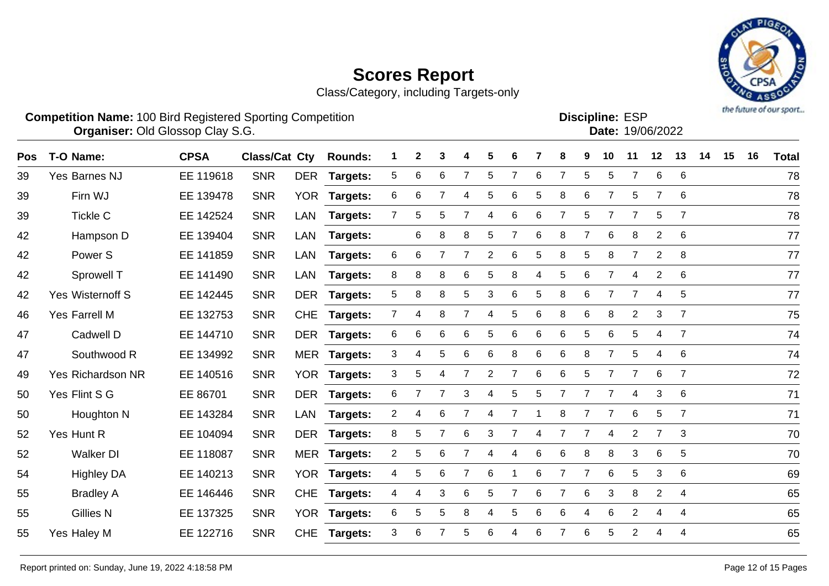Class/Category, including Targets-only



|            |                      | <b>Competition Name: 100 Bird Registered Sporting Competition</b><br>Organiser: Old Glossop Clay S.G. |                      |            |                |   |              |   |   |             |   |    |   |             |    | <b>Discipline: ESP</b> | Date: 19/06/2022 |                |    |    |    | <b>Print Lindshirts At A Print Advanced</b> |
|------------|----------------------|-------------------------------------------------------------------------------------------------------|----------------------|------------|----------------|---|--------------|---|---|-------------|---|----|---|-------------|----|------------------------|------------------|----------------|----|----|----|---------------------------------------------|
| <b>Pos</b> | T-O Name:            | <b>CPSA</b>                                                                                           | <b>Class/Cat Cty</b> |            | <b>Rounds:</b> |   | $\mathbf{2}$ | 3 | 4 | 5.          | 6 |    | 8 | 9           | 10 | 11                     | $12 \,$          | 13             | 14 | 15 | 16 | <b>Total</b>                                |
| 39         | <b>Yes Barnes NJ</b> | EE 119618                                                                                             | <b>SNR</b>           | <b>DER</b> | Targets:       | 5 | 6            | 6 |   | $5^{\circ}$ |   | 6  |   | 5.          | 5  |                        | 6                | - 6            |    |    |    | 78                                          |
| 39         | Firn WJ              | EE 139478                                                                                             | <b>SNR</b>           | <b>YOR</b> | Targets:       | 6 | 6            |   | 4 | 5           | 6 | 5. | 8 | 6.          |    | 5.                     |                  | 6              |    |    |    | 78                                          |
| 39         | Tickle C             | EE 142524                                                                                             | <b>SNR</b>           | LAN        | Targets:       |   | 5.           | 5 |   | 4           | 6 | 6  |   | 5.          |    |                        | 5                |                |    |    |    | 78                                          |
| 42         | Hampson D            | EE 139404                                                                                             | <b>SNR</b>           | LAN        | Targets:       |   | 6            | 8 | 8 | 5           |   | 6  | 8 |             | 6  | 8                      | 2                | - 6            |    |    |    | 77                                          |
| 42         | Power <sub>S</sub>   | EE 141859                                                                                             | <b>SNR</b>           | LAN        | Targets:       | 6 | 6            |   |   | 2           | 6 | 5  | 8 | $5^{\circ}$ | 8  |                        | 2                | $_{\rm 8}$     |    |    |    | 77                                          |
| 42         | Sprowell T           | EE 141490                                                                                             | <b>SNR</b>           | LAN        | Targets:       | 8 | 8            | 8 | 6 | 5           | 8 | 4  | 5 | 6           |    | 4                      |                  | - 6            |    |    |    | 77                                          |
| 42         | Yes Wisternoff S     | EE 142445                                                                                             | <b>SNR</b>           | <b>DER</b> | Targets:       | 5 | 8            | 8 | 5 | 3           | 6 | 5  | 8 | 6           |    |                        |                  | 5              |    |    |    | 77                                          |
| 46         | Yes Farrell M        | EE 132753                                                                                             | <b>SNR</b>           | CHE        | Targets:       |   | 4            | 8 |   | 4           | 5 | 6  | 8 | -6          | 8  | 2                      | 3                | $\overline{7}$ |    |    |    | 75                                          |
|            |                      |                                                                                                       |                      |            |                |   |              |   |   |             |   |    |   |             |    |                        |                  |                |    |    |    |                                             |

Yes Richardson NR EE 140516 SNR YOR **Targets:** 3 5 4 7 2 7 6 6 5 7 7 6 7 72

Yes Flint S G EE 86701 SNR DER **Targets:** 6 7 7 3 4 5 5 7 7 7 4 3 6 71

Houghton N EE 143284 SNR LAN **Targets:** 2 4 6 7 4 7 1 8 7 7 6 5 7 71

 Yes Hunt R EE 104094 SNR DER **Targets:** 8 5 7 6 3 7 4 7 7 4 2 7 3 70 Walker DI EE 118087 SNR MER **Targets:** 2 5 6 7 4 4 6 6 8 8 3 6 5 70

Highley DA EE 140213 SNR YOR **Targets:** 4 5 6 7 6 1 6 7 7 6 5 3 6 69

Bradley A EE 146446 SNR CHE **Targets:** 4 4 3 6 5 7 6 7 6 3 8 2 4 65

 Gillies N EE 137325 SNR YOR **Targets:** 6 5 5 8 4 5 6 6 4 6 2 4 4 65 Yes Haley M EE 122716 SNR CHE **Targets:** 3 6 7 5 6 4 6 7 6 5 2 4 4 65

| 39 | Yes Barnes NJ    | EE 119618 | <b>SNR</b> |     | DER Targets:    | 5           | 6  | 6  |   | 5  |   | 6  |   | 5 | 5. |                | 6              | -6  | 78 |
|----|------------------|-----------|------------|-----|-----------------|-------------|----|----|---|----|---|----|---|---|----|----------------|----------------|-----|----|
| 39 | Firn WJ          | EE 139478 | <b>SNR</b> |     | YOR Targets:    | 6           | 6  |    | 4 | 5. | 6 | 5  | 8 | 6 |    | 5              |                | - 6 | 78 |
| 39 | <b>Tickle C</b>  | EE 142524 | <b>SNR</b> | LAN | <b>Targets:</b> | $7^{\circ}$ | 5. | 5  |   | 4  | 6 | 6  |   | 5 |    |                | 5              |     | 78 |
| 42 | Hampson D        | EE 139404 | <b>SNR</b> |     | LAN Targets:    |             | 6  | 8  | 8 | 5. |   | 6  | 8 |   | 6  | 8              | 2              | - 6 | 77 |
| 42 | Power S          | EE 141859 | <b>SNR</b> |     | LAN Targets:    | 6           | 6  |    |   | 2  | 6 | 5. | 8 | 5 | 8  |                | $\overline{2}$ | - 8 | 77 |
| 42 | Sprowell T       | EE 141490 | <b>SNR</b> |     | LAN Targets:    | 8           | 8  | 8  | 6 | 5. | 8 | 4  | 5 | 6 |    | 4              | 2              | - 6 | 77 |
| 42 | Yes Wisternoff S | EE 142445 | <b>SNR</b> |     | DER Targets:    | 5           | 8  | 8  | 5 | 3  | 6 | 5  | 8 | 6 |    |                | 4              | - 5 | 77 |
| 46 | Yes Farrell M    | EE 132753 | <b>SNR</b> |     | CHE Targets:    |             | 4  | 8  |   | 4  | 5 | 6  | 8 | 6 | 8  | $\overline{2}$ | 3              |     | 75 |
| 47 | Cadwell D        | EE 144710 | <b>SNR</b> |     | DER Targets:    | 6           | 6  | -6 | 6 | 5. | 6 | 6  | 6 | 5 | 6  | 5              | 4              |     | 74 |
| 47 | Southwood R      | EE 134992 | <b>SNR</b> |     | MER Targets:    | 3           |    | 5  | 6 | 6  | 8 | 6  | 6 | 8 |    | 5              | 4              | - 6 | 74 |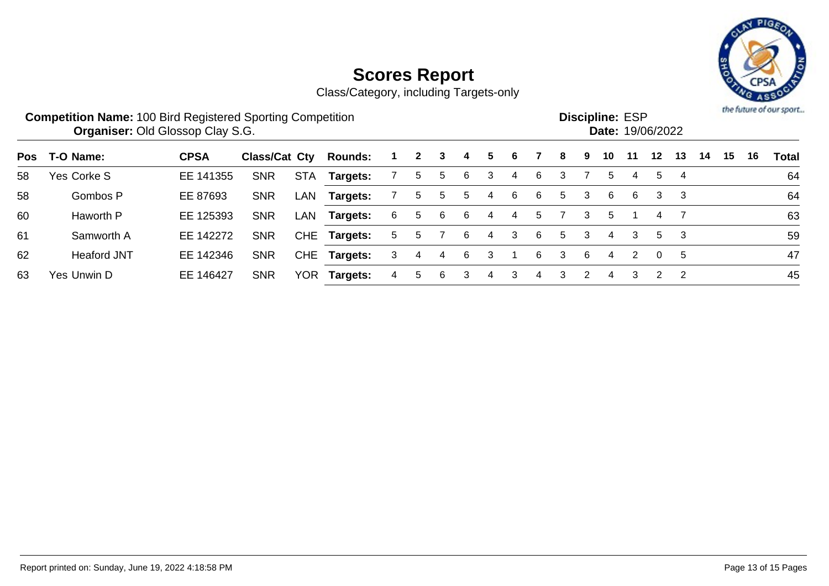

|     | <b>Competition Name: 100 Bird Registered Sporting Competition</b><br><b>Organiser: Old Glossop Clay S.G.</b> |             |               |            |                 |   |              |   |    |   |   |    |    |               | <b>Discipline: ESP</b> |    | <b>Date: 19/06/2022</b> |    |    |    |    | the future of our sport |
|-----|--------------------------------------------------------------------------------------------------------------|-------------|---------------|------------|-----------------|---|--------------|---|----|---|---|----|----|---------------|------------------------|----|-------------------------|----|----|----|----|-------------------------|
| Pos | T-O Name:                                                                                                    | <b>CPSA</b> | Class/Cat Cty |            | <b>Rounds:</b>  |   | $\mathbf{2}$ | 3 | 4  | 5 | 6 |    | 8  | 9             | 10                     | 11 | $12 \,$                 | 13 | 14 | 15 | 16 | Total                   |
| 58  | Yes Corke S                                                                                                  | EE 141355   | <b>SNR</b>    | <b>STA</b> | Targets:        |   | 5            | 5 | 6  | 3 | 4 | 6  | 3  |               | 5                      | 4  | 5                       | 4  |    |    |    | 64                      |
| 58  | Gombos P                                                                                                     | EE 87693    | <b>SNR</b>    | LAN        | Targets:        |   | 5            | 5 | 5  | 4 | 6 | 6  | 5. | 3             | 6                      | 6  | 3                       | -3 |    |    |    | 64                      |
| 60  | Haworth P                                                                                                    | EE 125393   | <b>SNR</b>    | LAN        | Targets:        | 6 | 5            | 6 | 6  | 4 | 4 | 5  |    | 3             | 5                      |    |                         |    |    |    |    | 63                      |
| 61  | Samworth A                                                                                                   | EE 142272   | <b>SNR</b>    |            | CHE Targets:    | 5 | $\mathbf b$  |   | 6  | 4 | 3 | -6 | 5. | 3             | 4                      | 3  | 5                       | -3 |    |    |    | 59                      |
| 62  | <b>Heaford JNT</b>                                                                                           | EE 142346   | <b>SNR</b>    | <b>CHE</b> | <b>Targets:</b> | 3 | 4            | 4 | -6 | 3 |   | 6  | 3  | 6             | 4                      |    | $\Omega$                | 5  |    |    |    | 47                      |
| 63  | Yes Unwin D                                                                                                  | EE 146427   | <b>SNR</b>    | <b>YOR</b> | Targets:        | 4 | 5            | 6 | 3  | 4 | 3 | 4  | 3  | $\mathcal{P}$ | 4                      | 3  | 2                       | -2 |    |    |    | 45                      |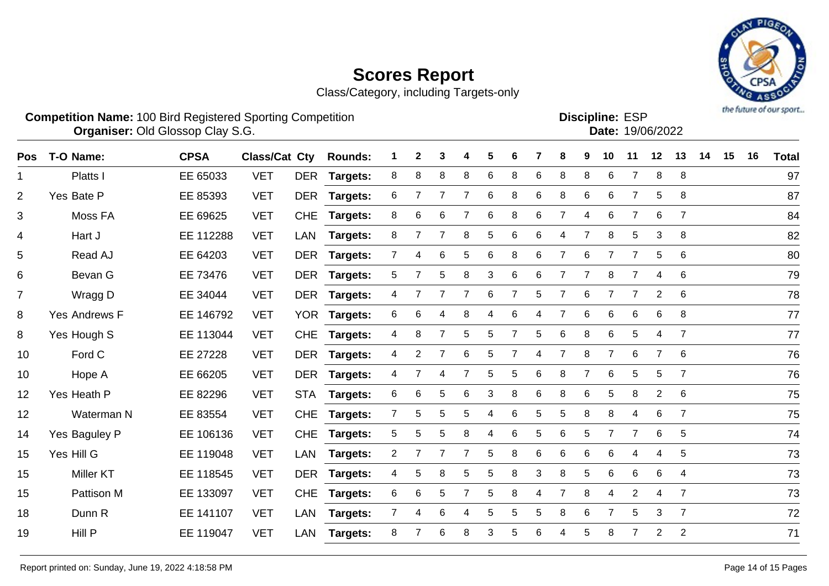Class/Category, including Targets-only



**Competition Name:** 100 Bird Registered Sporting Competition **EXP EXP Competition EXP Organiser:** Old Glossop Clay S.G. 19/06/2022 Discipline: ESP<br>Date: 19/06/2022

| Pos            | T-O Name:     | <b>CPSA</b> | <b>Class/Cat Cty</b> |            | <b>Rounds:</b>  |                | $\mathbf{2}$ | 3              |   | 5 | 6     |   | 8              | 9              | 10             | 11             | $12$           | 13             | 14 | 15 | 16 | <b>Total</b> |
|----------------|---------------|-------------|----------------------|------------|-----------------|----------------|--------------|----------------|---|---|-------|---|----------------|----------------|----------------|----------------|----------------|----------------|----|----|----|--------------|
| 1              | Platts I      | EE 65033    | <b>VET</b>           | <b>DER</b> | Targets:        | 8              | 8            | 8              | 8 | 6 | 8     | 6 | 8              | 8              | 6              | $\overline{7}$ | 8              | 8              |    |    |    | 97           |
| $\overline{2}$ | Yes Bate P    | EE 85393    | <b>VET</b>           |            | DER Targets:    | 6              | 7            | 7              |   | 6 | 8     | 6 | 8              | 6              | 6              | $\overline{7}$ | 5              | 8              |    |    |    | 87           |
| 3              | Moss FA       | EE 69625    | <b>VET</b>           | <b>CHE</b> | <b>Targets:</b> | 8              | 6            | 6              |   | 6 | 8     | 6 | $\overline{7}$ | 4              | 6              | $\overline{7}$ | 6              | $\overline{7}$ |    |    |    | 84           |
| 4              | Hart J        | EE 112288   | <b>VET</b>           | LAN        | <b>Targets:</b> | 8              | 7            | $\overline{7}$ | 8 | 5 | 6     | 6 | 4              | $\overline{7}$ | 8              | 5              | 3              | 8              |    |    |    | 82           |
| 5              | Read AJ       | EE 64203    | <b>VET</b>           | <b>DER</b> | <b>Targets:</b> | $7^{\circ}$    | 4            | 6              | 5 | 6 | 8     | 6 | $\overline{7}$ | 6              | $\overline{7}$ | $\overline{7}$ | 5              | 6              |    |    |    | 80           |
| 6              | Bevan G       | EE 73476    | <b>VET</b>           | <b>DER</b> | <b>Targets:</b> | 5              |              | 5              | 8 | 3 | $\,6$ | 6 | 7              | $\overline{7}$ | 8              | $\overline{7}$ | 4              | 6              |    |    |    | 79           |
| $\overline{7}$ | Wragg D       | EE 34044    | <b>VET</b>           |            | DER Targets:    | 4              |              | $\overline{7}$ |   | 6 | 7     | 5 | 7              | $\,6$          |                | $\overline{7}$ | $\overline{2}$ | 6              |    |    |    | 78           |
| 8              | Yes Andrews F | EE 146792   | <b>VET</b>           |            | YOR Targets:    | 6              | 6            | 4              | 8 |   | 6     |   | 7              | 6              | 6              | 6              | 6              | 8              |    |    |    | 77           |
| 8              | Yes Hough S   | EE 113044   | <b>VET</b>           | <b>CHE</b> | <b>Targets:</b> | 4              | 8            | 7              | 5 | 5 |       | 5 | 6              | 8              | 6              | 5              | $\overline{4}$ | $\overline{7}$ |    |    |    | 77           |
| 10             | Ford C        | EE 27228    | <b>VET</b>           | <b>DER</b> | <b>Targets:</b> | 4              | 2            | 7              | 6 | 5 |       | 4 | 7              | 8              | 7              | 6              | 7              | 6              |    |    |    | 76           |
| 10             | Hope A        | EE 66205    | <b>VET</b>           | <b>DER</b> | Targets:        | 4              |              | 4              |   | 5 | 5     | 6 | 8              | 7              | 6              | 5              | 5              | $\overline{7}$ |    |    |    | 76           |
| 12             | Yes Heath P   | EE 82296    | <b>VET</b>           | <b>STA</b> | Targets:        | 6              | 6            | 5              | 6 | 3 | 8     | 6 | 8              | 6              | 5              | 8              | 2              | 6              |    |    |    | 75           |
| 12             | Waterman N    | EE 83554    | <b>VET</b>           | <b>CHE</b> | <b>Targets:</b> | $\overline{7}$ | 5            | 5              | 5 | 4 | $\,6$ | 5 | 5              | 8              | 8              | 4              | 6              | $\overline{7}$ |    |    |    | 75           |
| 14             | Yes Baguley P | EE 106136   | <b>VET</b>           | <b>CHE</b> | <b>Targets:</b> | 5              | 5            | 5              | 8 | 4 | 6     | 5 | 6              | 5              | $\overline{7}$ | $\overline{7}$ | $\,6$          | 5              |    |    |    | 74           |
| 15             | Yes Hill G    | EE 119048   | <b>VET</b>           | <b>LAN</b> | <b>Targets:</b> | $\overline{2}$ | 7            | 7              |   | 5 | 8     | 6 | 6              | 6              | 6              | 4              | 4              | 5              |    |    |    | 73           |
| 15             | Miller KT     | EE 118545   | <b>VET</b>           | <b>DER</b> | <b>Targets:</b> | 4              | 5            | 8              | 5 | 5 | 8     | 3 | 8              | 5              | 6              | 6              | 6              | 4              |    |    |    | 73           |
| 15             | Pattison M    | EE 133097   | <b>VET</b>           | <b>CHE</b> | <b>Targets:</b> | 6              | 6            | 5              |   | 5 | 8     | 4 | 7              | 8              | 4              | $\overline{2}$ | $\overline{4}$ | $\overline{7}$ |    |    |    | 73           |
| 18             | Dunn R        | EE 141107   | <b>VET</b>           | LAN        | Targets:        | 7 <sup>1</sup> | 4            | 6              | 4 | 5 | 5     | 5 | 8              | 6              |                | 5              | 3              | $\overline{7}$ |    |    |    | 72           |
| 19             | Hill P        | EE 119047   | <b>VET</b>           | LAN        | <b>Targets:</b> | 8              |              | 6              | 8 | 3 | 5     | 6 | 4              | 5              | 8              | $\overline{7}$ | $\overline{2}$ | $\overline{2}$ |    |    |    | 71           |
|                |               |             |                      |            |                 |                |              |                |   |   |       |   |                |                |                |                |                |                |    |    |    |              |